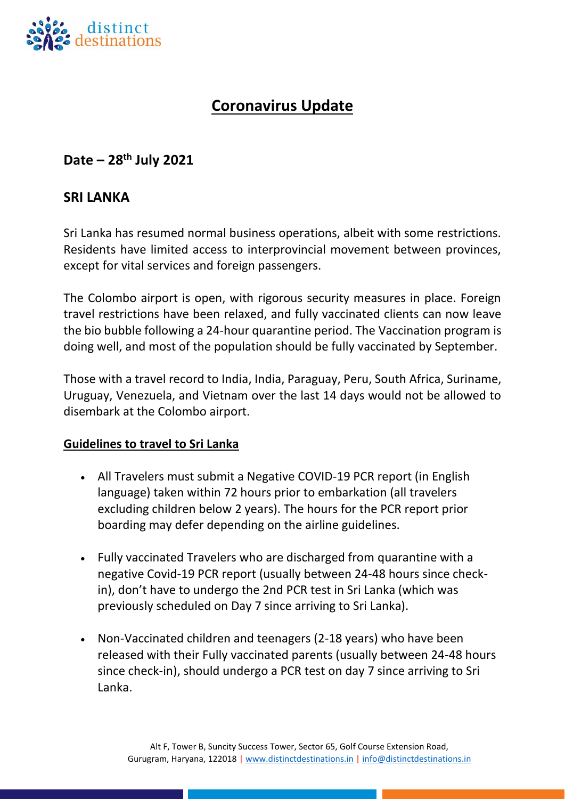

# **Coronavirus Update**

## **Date – 28 th July 2021**

### **SRI LANKA**

Sri Lanka has resumed normal business operations, albeit with some restrictions. Residents have limited access to interprovincial movement between provinces, except for vital services and foreign passengers.

The Colombo airport is open, with rigorous security measures in place. Foreign travel restrictions have been relaxed, and fully vaccinated clients can now leave the bio bubble following a 24-hour quarantine period. The Vaccination program is doing well, and most of the population should be fully vaccinated by September.

Those with a travel record to India, India, Paraguay, Peru, South Africa, Suriname, Uruguay, Venezuela, and Vietnam over the last 14 days would not be allowed to disembark at the Colombo airport.

#### **Guidelines to travel to Sri Lanka**

- All Travelers must submit a Negative COVID-19 PCR report (in English language) taken within 72 hours prior to embarkation (all travelers excluding children below 2 years). The hours for the PCR report prior boarding may defer depending on the airline guidelines.
- Fully vaccinated Travelers who are discharged from quarantine with a negative Covid-19 PCR report (usually between 24-48 hours since checkin), don't have to undergo the 2nd PCR test in Sri Lanka (which was previously scheduled on Day 7 since arriving to Sri Lanka).
- Non-Vaccinated children and teenagers (2-18 years) who have been released with their Fully vaccinated parents (usually between 24-48 hours since check-in), should undergo a PCR test on day 7 since arriving to Sri Lanka.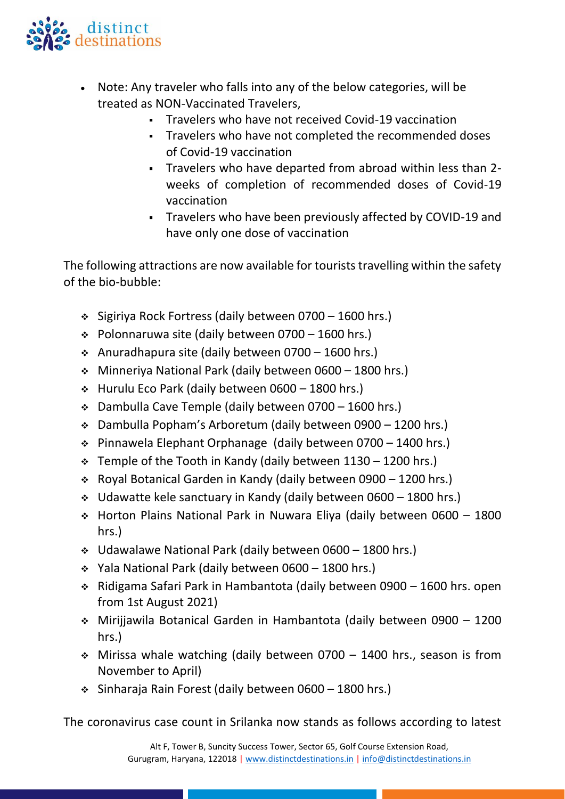

- Note: Any traveler who falls into any of the below categories, will be treated as NON-Vaccinated Travelers,
	- Travelers who have not received Covid-19 vaccination
	- Travelers who have not completed the recommended doses of Covid-19 vaccination
	- Travelers who have departed from abroad within less than 2 weeks of completion of recommended doses of Covid-19 vaccination
	- Travelers who have been previously affected by COVID-19 and have only one dose of vaccination

The following attractions are now available for tourists travelling within the safety of the bio-bubble:

- ❖ Sigiriya Rock Fortress (daily between 0700 1600 hrs.)
- ❖ Polonnaruwa site (daily between 0700 1600 hrs.)
- ❖ Anuradhapura site (daily between 0700 1600 hrs.)
- ❖ Minneriya National Park (daily between 0600 1800 hrs.)
- ❖ Hurulu Eco Park (daily between 0600 1800 hrs.)
- ❖ Dambulla Cave Temple (daily between 0700 1600 hrs.)
- ❖ Dambulla Popham's Arboretum (daily between 0900 1200 hrs.)
- ❖ Pinnawela Elephant Orphanage (daily between 0700 1400 hrs.)
- $\div$  Temple of the Tooth in Kandy (daily between 1130 1200 hrs.)
- ❖ Royal Botanical Garden in Kandy (daily between 0900 1200 hrs.)
- ❖ Udawatte kele sanctuary in Kandy (daily between 0600 1800 hrs.)
- ❖ Horton Plains National Park in Nuwara Eliya (daily between 0600 1800 hrs.)
- ❖ Udawalawe National Park (daily between 0600 1800 hrs.)
- ❖ Yala National Park (daily between 0600 1800 hrs.)
- ❖ Ridigama Safari Park in Hambantota (daily between 0900 1600 hrs. open from 1st August 2021)
- ❖ Mirijjawila Botanical Garden in Hambantota (daily between 0900 1200 hrs.)
- ❖ Mirissa whale watching (daily between 0700 1400 hrs., season is from November to April)
- ❖ Sinharaja Rain Forest (daily between 0600 1800 hrs.)

The coronavirus case count in Srilanka now stands as follows according to latest